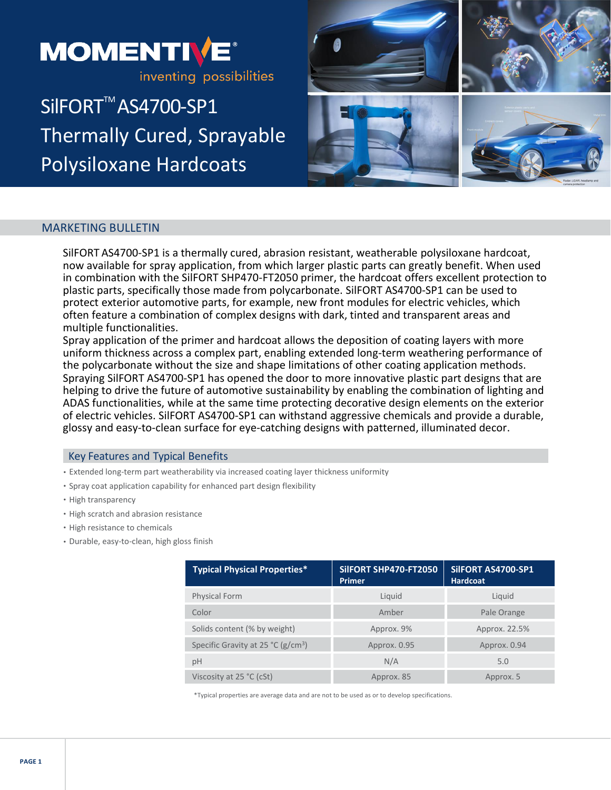

# SilFORT<sup>™</sup>AS4700-SP1 Thermally Cured, Sprayable Polysiloxane Hardcoats



# MARKETING BULLETIN

SilFORT AS4700-SP1 is a thermally cured, abrasion resistant, weatherable polysiloxane hardcoat, now available for spray application, from which larger plastic parts can greatly benefit. When used in combination with the SilFORT SHP470-FT2050 primer, the hardcoat offers excellent protection to plastic parts, specifically those made from polycarbonate. SilFORT AS4700-SP1 can be used to protect exterior automotive parts, for example, new front modules for electric vehicles, which often feature a combination of complex designs with dark, tinted and transparent areas and multiple functionalities.

Spray application of the primer and hardcoat allows the deposition of coating layers with more uniform thickness across a complex part, enabling extended long-term weathering performance of the polycarbonate without the size and shape limitations of other coating application methods. Spraying SilFORT AS4700-SP1 has opened the door to more innovative plastic part designs that are helping to drive the future of automotive sustainability by enabling the combination of lighting and ADAS functionalities, while at the same time protecting decorative design elements on the exterior of electric vehicles. SilFORT AS4700-SP1 can withstand aggressive chemicals and provide a durable, glossy and easy-to-clean surface for eye-catching designs with patterned, illuminated decor.

## Key Features and Typical Benefits

- Extended long-term part weatherability via increased coating layer thickness uniformity
- Spray coat application capability for enhanced part design flexibility
- High transparency
- High scratch and abrasion resistance
- High resistance to chemicals
- Durable, easy-to-clean, high gloss finish

| <b>Typical Physical Properties*</b>   | SIIFORT SHP470-FT2050<br><b>Primer</b> | SilFORT AS4700-SP1<br><b>Hardcoat</b> |
|---------------------------------------|----------------------------------------|---------------------------------------|
| <b>Physical Form</b>                  | Liquid                                 | Liquid                                |
| Color                                 | Amber                                  | Pale Orange                           |
| Solids content (% by weight)          | Approx. 9%                             | Approx. 22.5%                         |
| Specific Gravity at 25 °C ( $g/cm3$ ) | Approx. 0.95                           | Approx. 0.94                          |
| рH                                    | N/A                                    | 5.0                                   |
| Viscosity at $25 °C$ (cSt)            | Approx. 85                             | Approx. 5                             |

\*Typical properties are average data and are not to be used as or to develop specifications.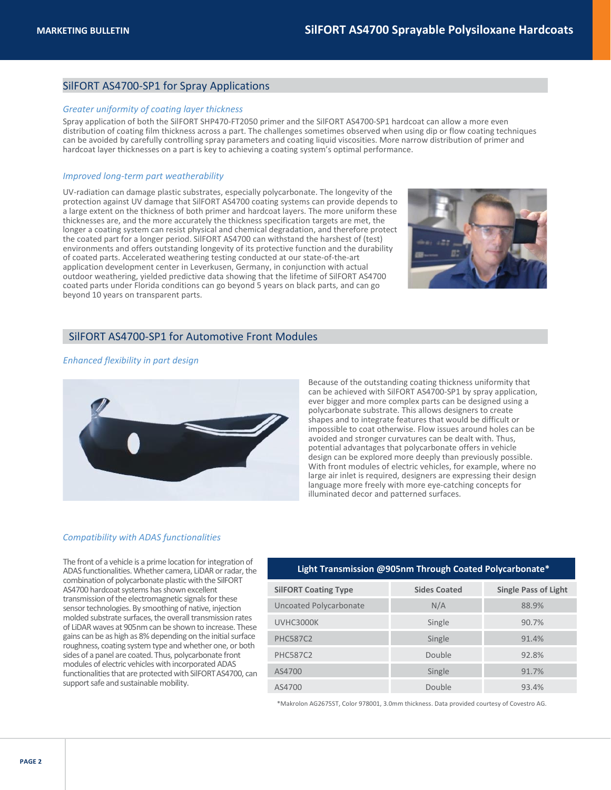## SilFORT AS4700-SP1 for Spray Applications

### *Greater uniformity of coating layer thickness*

Spray application of both the SilFORT SHP470-FT2050 primer and the SilFORT AS4700-SP1 hardcoat can allow a more even distribution of coating film thickness across a part. The challenges sometimes observed when using dip or flow coating techniques can be avoided by carefully controlling spray parameters and coating liquid viscosities. More narrow distribution of primer and hardcoat layer thicknesses on a part is key to achieving a coating system's optimal performance.

#### *Improved long-term part weatherability*

UV-radiation can damage plastic substrates, especially polycarbonate. The longevity of the protection against UV damage that SilFORT AS4700 coating systems can provide depends to a large extent on the thickness of both primer and hardcoat layers. The more uniform these thicknesses are, and the more accurately the thickness specification targets are met, the longer a coating system can resist physical and chemical degradation, and therefore protect the coated part for a longer period. SilFORT AS4700 can withstand the harshest of (test) environments and offers outstanding longevity of its protective function and the durability of coated parts. Accelerated weathering testing conducted at our state-of-the-art application development center in Leverkusen, Germany, in conjunction with actual outdoor weathering, yielded predictive data showing that the lifetime of SilFORT AS4700 coated parts under Florida conditions can go beyond 5 years on black parts, and can go beyond 10 years on transparent parts.



#### SilFORT AS4700-SP1 for Automotive Front Modules

#### *Enhanced flexibility in part design*



Because of the outstanding coating thickness uniformity that can be achieved with SilFORT AS4700-SP1 by spray application, ever bigger and more complex parts can be designed using a polycarbonate substrate. This allows designers to create shapes and to integrate features that would be difficult or impossible to coat otherwise. Flow issues around holes can be avoided and stronger curvatures can be dealt with. Thus, potential advantages that polycarbonate offers in vehicle design can be explored more deeply than previously possible. With front modules of electric vehicles, for example, where no large air inlet is required, designers are expressing their design language more freely with more eye-catching concepts for illuminated decor and patterned surfaces.

#### *Compatibility with ADAS functionalities*

The front of a vehicle is a prime location for integration of ADAS functionalities.Whether camera, LiDAR or radar, the combination of polycarbonate plastic with the SilFORT AS4700 hardcoat systems has shown excellent transmission of the electromagnetic signals for these sensor technologies. By smoothing of native, injection molded substrate surfaces, the overall transmission rates of LiDAR waves at 905nm can be shown to increase. These gains can be as high as 8% depending on the initial surface roughness, coating system type and whether one, or both sides of a panel are coated. Thus, polycarbonate front modules of electric vehicles with incorporated ADAS functionalities that are protected with SilFORT AS4700, can support safe and sustainable mobility.

#### **Light Transmission @905nm Through Coated Polycarbonate\***

| <b>SilFORT Coating Type</b> | <b>Sides Coated</b> | <b>Single Pass of Light</b> |
|-----------------------------|---------------------|-----------------------------|
| Uncoated Polycarbonate      | N/A                 | 88.9%                       |
| UVHC3000K                   | Single              | 90.7%                       |
| <b>PHC587C2</b>             | Single              | 91.4%                       |
| <b>PHC587C2</b>             | Double              | 92.8%                       |
| AS4700                      | Single              | 91.7%                       |
| AS4700                      | Double              | 93.4%                       |

\*Makrolon AG2675ST, Color 978001, 3.0mm thickness. Data provided courtesy of Covestro AG.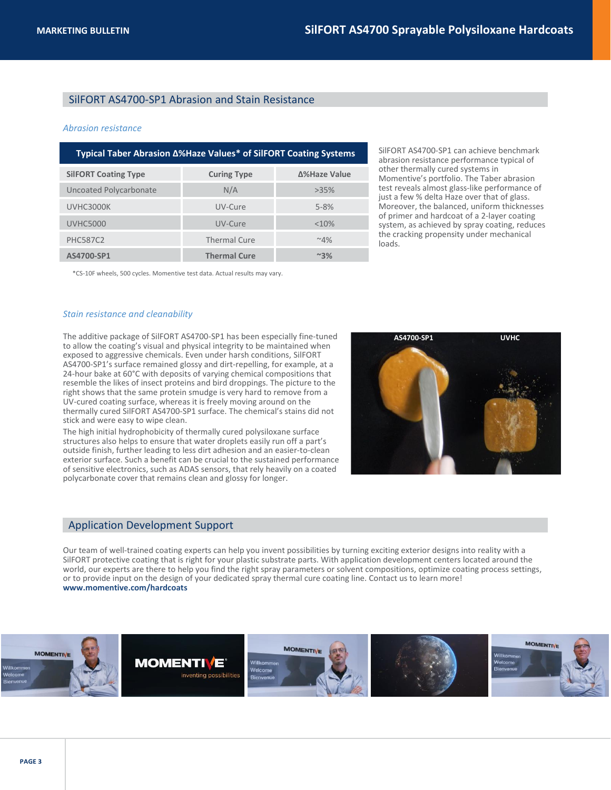## SilFORT AS4700-SP1 Abrasion and Stain Resistance

#### *Abrasion resistance*

| Typical Taber Abrasion Δ%Haze Values* of SilFORT Coating Systems |                     |               |  |  |
|------------------------------------------------------------------|---------------------|---------------|--|--|
| <b>SilFORT Coating Type</b>                                      | <b>Curing Type</b>  | Δ%Haze Value  |  |  |
| Uncoated Polycarbonate                                           | N/A                 | $>35\%$       |  |  |
| UVHC3000K                                                        | UV-Cure             | $5 - 8%$      |  |  |
| <b>UVHC5000</b>                                                  | UV-Cure             | <10%          |  |  |
| <b>PHC587C2</b>                                                  | <b>Thermal Cure</b> | $~4\%$        |  |  |
| AS4700-SP1                                                       | <b>Thermal Cure</b> | $~^{\sim}3\%$ |  |  |

SilFORT AS4700-SP1 can achieve benchmark abrasion resistance performance typical of other thermally cured systems in Momentive's portfolio. The Taber abrasion test reveals almost glass-like performance of just a few % delta Haze over that of glass. Moreover, the balanced, uniform thicknesses of primer and hardcoat of a 2-layer coating system, as achieved by spray coating, reduces the cracking propensity under mechanical loads.

\*CS-10F wheels, 500 cycles. Momentive test data. Actual results may vary.

#### *Stain resistance and cleanability*

The additive package of SilFORT AS4700-SP1 has been especially fine-tuned to allow the coating's visual and physical integrity to be maintained when exposed to aggressive chemicals. Even under harsh conditions, SilFORT AS4700-SP1's surface remained glossy and dirt-repelling, for example, at a 24-hour bake at 60°C with deposits of varying chemical compositions that resemble the likes of insect proteins and bird droppings. The picture to the right shows that the same protein smudge is very hard to remove from a UV-cured coating surface, whereas it is freely moving around on the thermally cured SilFORT AS4700-SP1 surface. The chemical's stains did not stick and were easy to wipe clean.

The high initial hydrophobicity of thermally cured polysiloxane surface structures also helps to ensure that water droplets easily run off a part's outside finish, further leading to less dirt adhesion and an easier-to-clean exterior surface. Such a benefit can be crucial to the sustained performance of sensitive electronics, such as ADAS sensors, that rely heavily on a coated polycarbonate cover that remains clean and glossy for longer.



## Application Development Support

Our team of well-trained coating experts can help you invent possibilities by turning exciting exterior designs into reality with a SilFORT protective coating that is right for your plastic substrate parts. With application development centers located around the world, our experts are there to help you find the right spray parameters or solvent compositions, optimize coating process settings, or to provide input on the design of your dedicated spray thermal cure coating line. Contact us to learn more! **www.momentive.com/hardcoats**